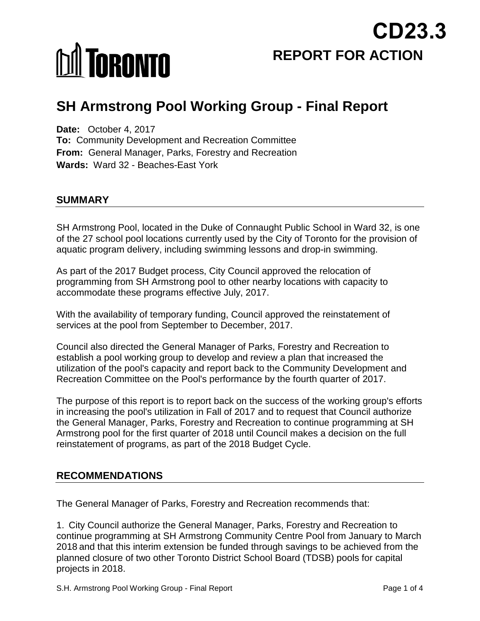# **MI TORONTO**

**REPORT FOR ACTION CD23.3**

# **SH Armstrong Pool Working Group - Final Report**

**Date:** October 4, 2017 **To:** Community Development and Recreation Committee **From:** General Manager, Parks, Forestry and Recreation **Wards:** Ward 32 - Beaches-East York

# **SUMMARY**

SH Armstrong Pool, located in the Duke of Connaught Public School in Ward 32, is one of the 27 school pool locations currently used by the City of Toronto for the provision of aquatic program delivery, including swimming lessons and drop-in swimming.

As part of the 2017 Budget process, City Council approved the relocation of programming from SH Armstrong pool to other nearby locations with capacity to accommodate these programs effective July, 2017.

With the availability of temporary funding, Council approved the reinstatement of services at the pool from September to December, 2017.

Council also directed the General Manager of Parks, Forestry and Recreation to establish a pool working group to develop and review a plan that increased the utilization of the pool's capacity and report back to the Community Development and Recreation Committee on the Pool's performance by the fourth quarter of 2017.

The purpose of this report is to report back on the success of the working group's efforts in increasing the pool's utilization in Fall of 2017 and to request that Council authorize the General Manager, Parks, Forestry and Recreation to continue programming at SH Armstrong pool for the first quarter of 2018 until Council makes a decision on the full reinstatement of programs, as part of the 2018 Budget Cycle.

# **RECOMMENDATIONS**

The General Manager of Parks, Forestry and Recreation recommends that:

1. City Council authorize the General Manager, Parks, Forestry and Recreation to continue programming at SH Armstrong Community Centre Pool from January to March 2018 and that this interim extension be funded through savings to be achieved from the planned closure of two other Toronto District School Board (TDSB) pools for capital projects in 2018.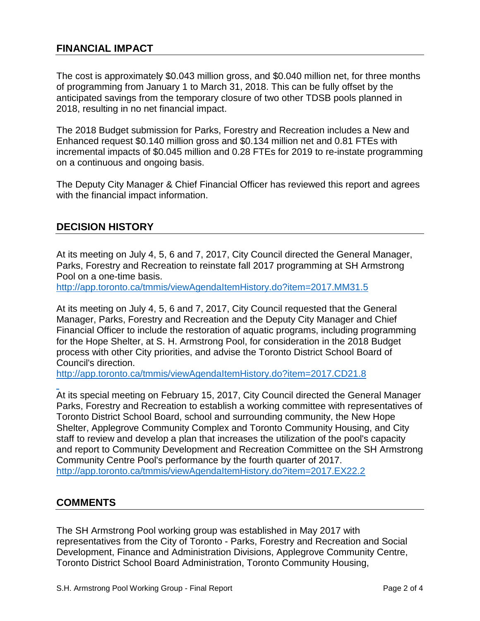# **FINANCIAL IMPACT**

The cost is approximately \$0.043 million gross, and \$0.040 million net, for three months of programming from January 1 to March 31, 2018. This can be fully offset by the anticipated savings from the temporary closure of two other TDSB pools planned in 2018, resulting in no net financial impact.

The 2018 Budget submission for Parks, Forestry and Recreation includes a New and Enhanced request \$0.140 million gross and \$0.134 million net and 0.81 FTEs with incremental impacts of \$0.045 million and 0.28 FTEs for 2019 to re-instate programming on a continuous and ongoing basis.

The Deputy City Manager & Chief Financial Officer has reviewed this report and agrees with the financial impact information.

### **DECISION HISTORY**

At its meeting on July 4, 5, 6 and 7, 2017, City Council directed the General Manager, Parks, Forestry and Recreation to reinstate fall 2017 programming at SH Armstrong Pool on a one-time basis.

<http://app.toronto.ca/tmmis/viewAgendaItemHistory.do?item=2017.MM31.5>

At its meeting on July 4, 5, 6 and 7, 2017, City Council requested that the General Manager, Parks, Forestry and Recreation and the Deputy City Manager and Chief Financial Officer to include the restoration of aquatic programs, including programming for the Hope Shelter, at S. H. Armstrong Pool, for consideration in the 2018 Budget process with other City priorities, and advise the Toronto District School Board of Council's direction.

<http://app.toronto.ca/tmmis/viewAgendaItemHistory.do?item=2017.CD21.8>

At its special meeting on February 15, 2017, City Council directed the General Manager Parks, Forestry and Recreation to establish a working committee with representatives of Toronto District School Board, school and surrounding community, the New Hope Shelter, Applegrove Community Complex and Toronto Community Housing, and City staff to review and develop a plan that increases the utilization of the pool's capacity and report to Community Development and Recreation Committee on the SH Armstrong Community Centre Pool's performance by the fourth quarter of 2017. <http://app.toronto.ca/tmmis/viewAgendaItemHistory.do?item=2017.EX22.2>

#### **COMMENTS**

The SH Armstrong Pool working group was established in May 2017 with representatives from the City of Toronto - Parks, Forestry and Recreation and Social Development, Finance and Administration Divisions, Applegrove Community Centre, Toronto District School Board Administration, Toronto Community Housing,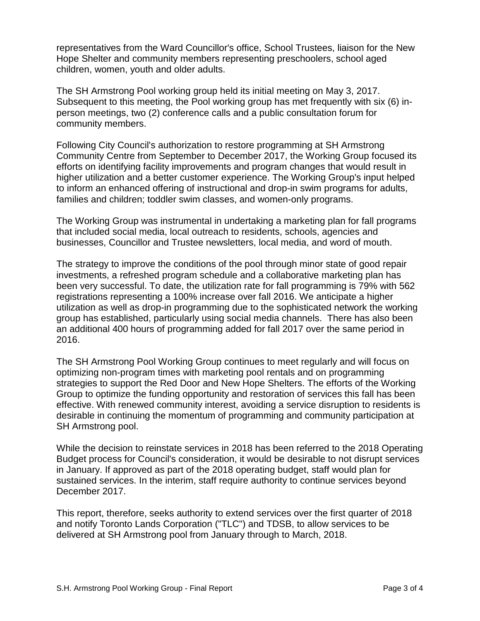representatives from the Ward Councillor's office, School Trustees, liaison for the New Hope Shelter and community members representing preschoolers, school aged children, women, youth and older adults.

The SH Armstrong Pool working group held its initial meeting on May 3, 2017. Subsequent to this meeting, the Pool working group has met frequently with six (6) inperson meetings, two (2) conference calls and a public consultation forum for community members.

Following City Council's authorization to restore programming at SH Armstrong Community Centre from September to December 2017, the Working Group focused its efforts on identifying facility improvements and program changes that would result in higher utilization and a better customer experience. The Working Group's input helped to inform an enhanced offering of instructional and drop-in swim programs for adults, families and children; toddler swim classes, and women-only programs.

The Working Group was instrumental in undertaking a marketing plan for fall programs that included social media, local outreach to residents, schools, agencies and businesses, Councillor and Trustee newsletters, local media, and word of mouth.

The strategy to improve the conditions of the pool through minor state of good repair investments, a refreshed program schedule and a collaborative marketing plan has been very successful. To date, the utilization rate for fall programming is 79% with 562 registrations representing a 100% increase over fall 2016. We anticipate a higher utilization as well as drop-in programming due to the sophisticated network the working group has established, particularly using social media channels. There has also been an additional 400 hours of programming added for fall 2017 over the same period in 2016.

The SH Armstrong Pool Working Group continues to meet regularly and will focus on optimizing non-program times with marketing pool rentals and on programming strategies to support the Red Door and New Hope Shelters. The efforts of the Working Group to optimize the funding opportunity and restoration of services this fall has been effective. With renewed community interest, avoiding a service disruption to residents is desirable in continuing the momentum of programming and community participation at SH Armstrong pool.

While the decision to reinstate services in 2018 has been referred to the 2018 Operating Budget process for Council's consideration, it would be desirable to not disrupt services in January. If approved as part of the 2018 operating budget, staff would plan for sustained services. In the interim, staff require authority to continue services beyond December 2017.

This report, therefore, seeks authority to extend services over the first quarter of 2018 and notify Toronto Lands Corporation ("TLC") and TDSB, to allow services to be delivered at SH Armstrong pool from January through to March, 2018.